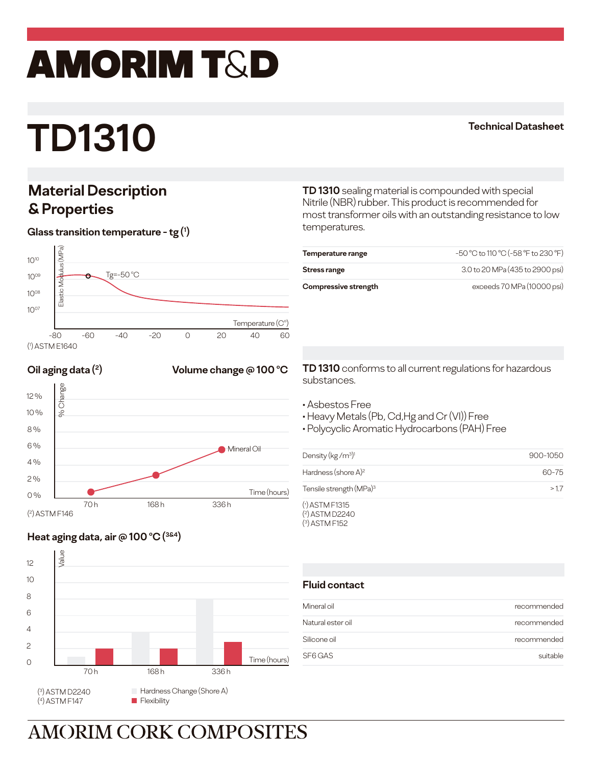## amorim T&D

# **TD1310**

#### **Technical Datasheet**

### **Material Description & Properties**

#### **Glass transition temperature - tg (1 )**



#### **Oil aging data** (2) **COLUME COMPLE 100** °C



### **Heat aging data, air @ 100 o C (3&4)**



**TD 1310** sealing material is compounded with special Nitrile (NBR) rubber. This product is recommended for most transformer oils with an outstanding resistance to low temperatures.

| Temperature range    | -50 °C to 110 °C (-58 °F to 230 °F) |
|----------------------|-------------------------------------|
| Stress range         | 3.0 to 20 MPa (435 to 2900 psi)     |
| Compressive strength | exceeds 70 MPa (10000 psi)          |

**TD 1310** conforms to all current regulations for hazardous substances.

- Asbestos Free
- Heavy Metals (Pb, Cd,Hg and Cr (VI)) Free
- Polycyclic Aromatic Hydrocarbons (PAH) Free

| Density ( $kg/m3$ ) <sup>1</sup>                        | 900-1050 |
|---------------------------------------------------------|----------|
| Hardness (shore $A$ ) <sup>2</sup>                      | 60-75    |
| Tensile strength (MPa) <sup>3</sup>                     | >17      |
| $(1)$ ASTM F1315<br>$(2)$ ASTM D2240<br>$(3)$ ASTM F152 |          |

#### **Fluid contact**

| Mineral oil       | recommended |
|-------------------|-------------|
| Natural ester oil | recommended |
| Silicone oil      | recommended |
| SF6 GAS           | suitable    |

## **AMORIM CORK COMPOSITES**